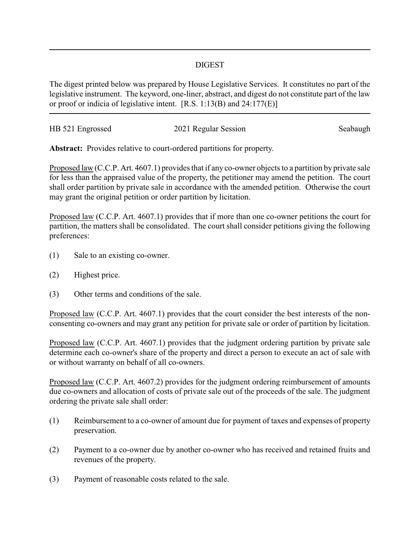## DIGEST

The digest printed below was prepared by House Legislative Services. It constitutes no part of the legislative instrument. The keyword, one-liner, abstract, and digest do not constitute part of the law or proof or indicia of legislative intent. [R.S. 1:13(B) and 24:177(E)]

| HB 521 Engrossed | 2021 Regular Session | Seabaugh |
|------------------|----------------------|----------|
|                  |                      |          |

**Abstract:** Provides relative to court-ordered partitions for property.

Proposed law (C.C.P. Art. 4607.1) provides that if any co-owner objects to a partition by private sale for less than the appraised value of the property, the petitioner may amend the petition. The court shall order partition by private sale in accordance with the amended petition. Otherwise the court may grant the original petition or order partition by licitation.

Proposed law (C.C.P. Art. 4607.1) provides that if more than one co-owner petitions the court for partition, the matters shall be consolidated. The court shall consider petitions giving the following preferences:

- (1) Sale to an existing co-owner.
- (2) Highest price.
- (3) Other terms and conditions of the sale.

Proposed law (C.C.P. Art. 4607.1) provides that the court consider the best interests of the nonconsenting co-owners and may grant any petition for private sale or order of partition by licitation.

Proposed law (C.C.P. Art. 4607.1) provides that the judgment ordering partition by private sale determine each co-owner's share of the property and direct a person to execute an act of sale with or without warranty on behalf of all co-owners.

Proposed law (C.C.P. Art. 4607.2) provides for the judgment ordering reimbursement of amounts due co-owners and allocation of costs of private sale out of the proceeds of the sale. The judgment ordering the private sale shall order:

- (1) Reimbursement to a co-owner of amount due for payment of taxes and expenses of property preservation.
- (2) Payment to a co-owner due by another co-owner who has received and retained fruits and revenues of the property.
- (3) Payment of reasonable costs related to the sale.